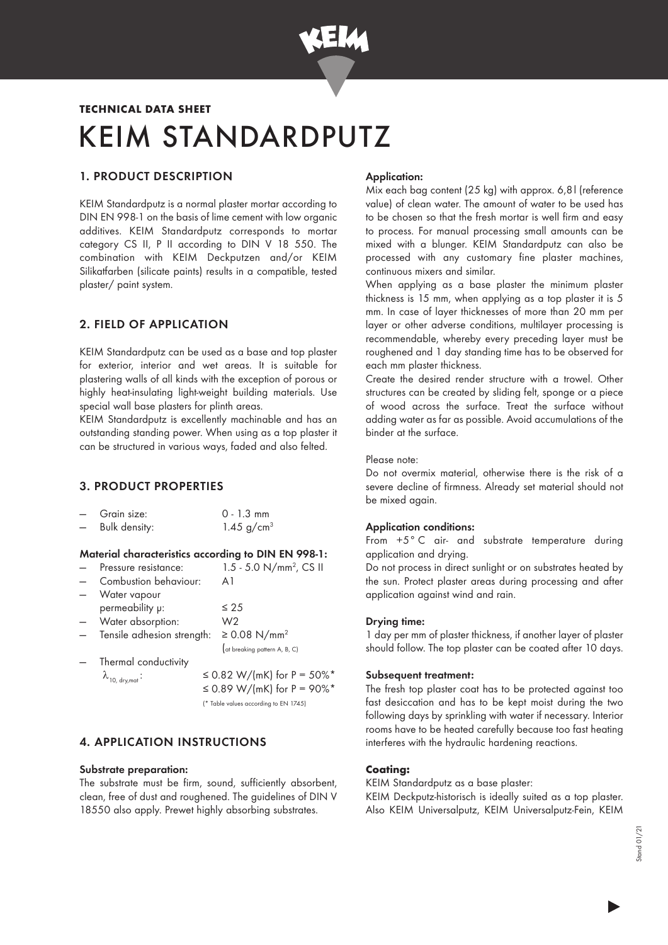

# KEIM STANDARDPUTZ TECHNICAL DATA SHEET

# 1. PRODUCT DESCRIPTION

KEIM Standardputz is a normal plaster mortar according to DIN EN 998-1 on the basis of lime cement with low organic additives. KEIM Standardputz corresponds to mortar category CS II, P II according to DIN V 18 550. The combination with KEIM Deckputzen and/or KEIM Silikatfarben (silicate paints) results in a compatible, tested plaster/ paint system.

## 2. FIELD OF APPLICATION

KEIM Standardputz can be used as a base and top plaster for exterior, interior and wet areas. It is suitable for plastering walls of all kinds with the exception of porous or highly heat-insulating light-weight building materials. Use special wall base plasters for plinth areas.

KEIM Standardputz is excellently machinable and has an outstanding standing power. When using as a top plaster it can be structured in various ways, faded and also felted.

## 3. PRODUCT PROPERTIES

| $\overline{\phantom{0}}$ | Grain size:   | $0 - 1.3$ mm    |
|--------------------------|---------------|-----------------|
| $\overline{\phantom{0}}$ | Bulk density: | 1.45 $g/cm^{3}$ |

#### Material characteristics according to DIN EN 998-1:

— Pressure resistance: 1.5 - 5.0  $N/mm^2$ , CS II

| Combustion behaviour:      | Αl                            |
|----------------------------|-------------------------------|
| Water vapour               |                               |
| permeability p:            | $\leq 25$                     |
| Water absorption:          | W2                            |
| Tensile adhesion strength: | ≥ 0.08 N/mm <sup>2</sup>      |
|                            | (at breaking pattern A, B, C) |
| Thermal conductivity       |                               |

 $\lambda_{10. \text{ dry.mat}}$ :  $\leq 0.82 \text{ W/(mK)}$  for P = 50%\* ≤ 0.89 W/(mK) for P = 90%\* (\* Table values according to EN 1745)

## 4. APPLICATION INSTRUCTIONS

#### Substrate preparation:

The substrate must be firm, sound, sufficiently absorbent, clean, free of dust and roughened. The guidelines of DIN V 18550 also apply. Prewet highly absorbing substrates.

## Application:

Mix each bag content (25 kg) with approx. 6,8l (reference value) of clean water. The amount of water to be used has to be chosen so that the fresh mortar is well firm and easy to process. For manual processing small amounts can be mixed with a blunger. KEIM Standardputz can also be processed with any customary fine plaster machines, continuous mixers and similar.

When applying as a base plaster the minimum plaster thickness is 15 mm, when applying as a top plaster it is 5 mm. In case of layer thicknesses of more than 20 mm per layer or other adverse conditions, multilayer processing is recommendable, whereby every preceding layer must be roughened and 1 day standing time has to be observed for each mm plaster thickness.

Create the desired render structure with a trowel. Other structures can be created by sliding felt, sponge or a piece of wood across the surface. Treat the surface without adding water as far as possible. Avoid accumulations of the binder at the surface.

#### Please note:

Do not overmix material, otherwise there is the risk of a severe decline of firmness. Already set material should not be mixed again.

#### Application conditions:

From +5°C air- and substrate temperature during application and drying.

Do not process in direct sunlight or on substrates heated by the sun. Protect plaster areas during processing and after application against wind and rain.

#### Drying time:

1 day per mm of plaster thickness, if another layer of plaster should follow. The top plaster can be coated after 10 days.

#### Subsequent treatment:

The fresh top plaster coat has to be protected against too fast desiccation and has to be kept moist during the two following days by sprinkling with water if necessary. Interior rooms have to be heated carefully because too fast heating interferes with the hydraulic hardening reactions.

# Coating:

KEIM Standardputz as a base plaster:

KEIM Deckputz-historisch is ideally suited as a top plaster. Also KEIM Universalputz, KEIM Universalputz-Fein, KEIM